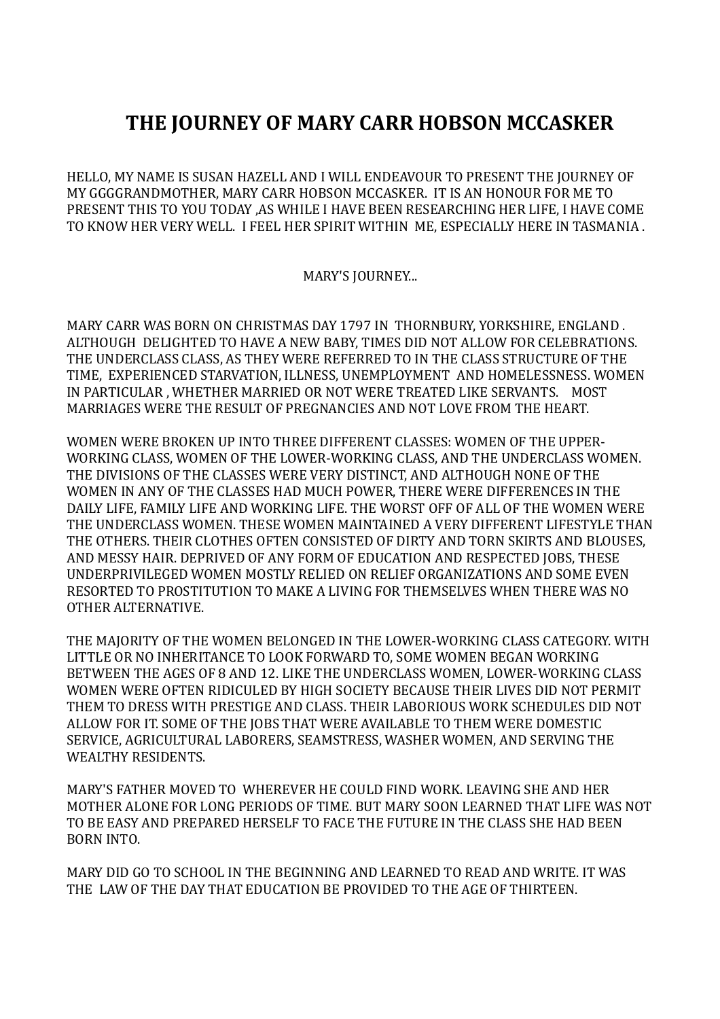## **THE JOURNEY OF MARY CARR HOBSON MCCASKER**

HELLO, MY NAME IS SUSAN HAZELL AND I WILL ENDEAVOUR TO PRESENT THE JOURNEY OF MY GGGGRANDMOTHER, MARY CARR HOBSON MCCASKER. IT IS AN HONOUR FOR ME TO PRESENT THIS TO YOU TODAY ,AS WHILE I HAVE BEEN RESEARCHING HER LIFE, I HAVE COME TO KNOW HER VERY WELL. I FEEL HER SPIRIT WITHIN ME, ESPECIALLY HERE IN TASMANIA .

## MARY'S JOURNEY...

MARY CARR WAS BORN ON CHRISTMAS DAY 1797 IN THORNBURY, YORKSHIRE, ENGLAND . ALTHOUGH DELIGHTED TO HAVE A NEW BABY, TIMES DID NOT ALLOW FOR CELEBRATIONS. THE UNDERCLASS CLASS, AS THEY WERE REFERRED TO IN THE CLASS STRUCTURE OF THE TIME, EXPERIENCED STARVATION, ILLNESS, UNEMPLOYMENT AND HOMELESSNESS. WOMEN IN PARTICULAR , WHETHER MARRIED OR NOT WERE TREATED LIKE SERVANTS. MOST MARRIAGES WERE THE RESULT OF PREGNANCIES AND NOT LOVE FROM THE HEART.

WOMEN WERE BROKEN UP INTO THREE DIFFERENT CLASSES: WOMEN OF THE UPPER-WORKING CLASS, WOMEN OF THE LOWER-WORKING CLASS, AND THE UNDERCLASS WOMEN. THE DIVISIONS OF THE CLASSES WERE VERY DISTINCT, AND ALTHOUGH NONE OF THE WOMEN IN ANY OF THE CLASSES HAD MUCH POWER, THERE WERE DIFFERENCES IN THE DAILY LIFE, FAMILY LIFE AND WORKING LIFE. THE WORST OFF OF ALL OF THE WOMEN WERE THE UNDERCLASS WOMEN. THESE WOMEN MAINTAINED A VERY DIFFERENT LIFESTYLE THAN THE OTHERS. THEIR CLOTHES OFTEN CONSISTED OF DIRTY AND TORN SKIRTS AND BLOUSES, AND MESSY HAIR. DEPRIVED OF ANY FORM OF EDUCATION AND RESPECTED JOBS, THESE UNDERPRIVILEGED WOMEN MOSTLY RELIED ON RELIEF ORGANIZATIONS AND SOME EVEN RESORTED TO PROSTITUTION TO MAKE A LIVING FOR THEMSELVES WHEN THERE WAS NO OTHER ALTERNATIVE.

THE MAJORITY OF THE WOMEN BELONGED IN THE LOWER-WORKING CLASS CATEGORY. WITH LITTLE OR NO INHERITANCE TO LOOK FORWARD TO, SOME WOMEN BEGAN WORKING BETWEEN THE AGES OF 8 AND 12. LIKE THE UNDERCLASS WOMEN, LOWER-WORKING CLASS WOMEN WERE OFTEN RIDICULED BY HIGH SOCIETY BECAUSE THEIR LIVES DID NOT PERMIT THEM TO DRESS WITH PRESTIGE AND CLASS. THEIR LABORIOUS WORK SCHEDULES DID NOT ALLOW FOR IT. SOME OF THE JOBS THAT WERE AVAILABLE TO THEM WERE DOMESTIC SERVICE, AGRICULTURAL LABORERS, SEAMSTRESS, WASHER WOMEN, AND SERVING THE WEALTHY RESIDENTS.

MARY'S FATHER MOVED TO WHEREVER HE COULD FIND WORK. LEAVING SHE AND HER MOTHER ALONE FOR LONG PERIODS OF TIME. BUT MARY SOON LEARNED THAT LIFE WAS NOT TO BE EASY AND PREPARED HERSELF TO FACE THE FUTURE IN THE CLASS SHE HAD BEEN BORN INTO.

MARY DID GO TO SCHOOL IN THE BEGINNING AND LEARNED TO READ AND WRITE. IT WAS THE LAW OF THE DAY THAT EDUCATION BE PROVIDED TO THE AGE OF THIRTEEN.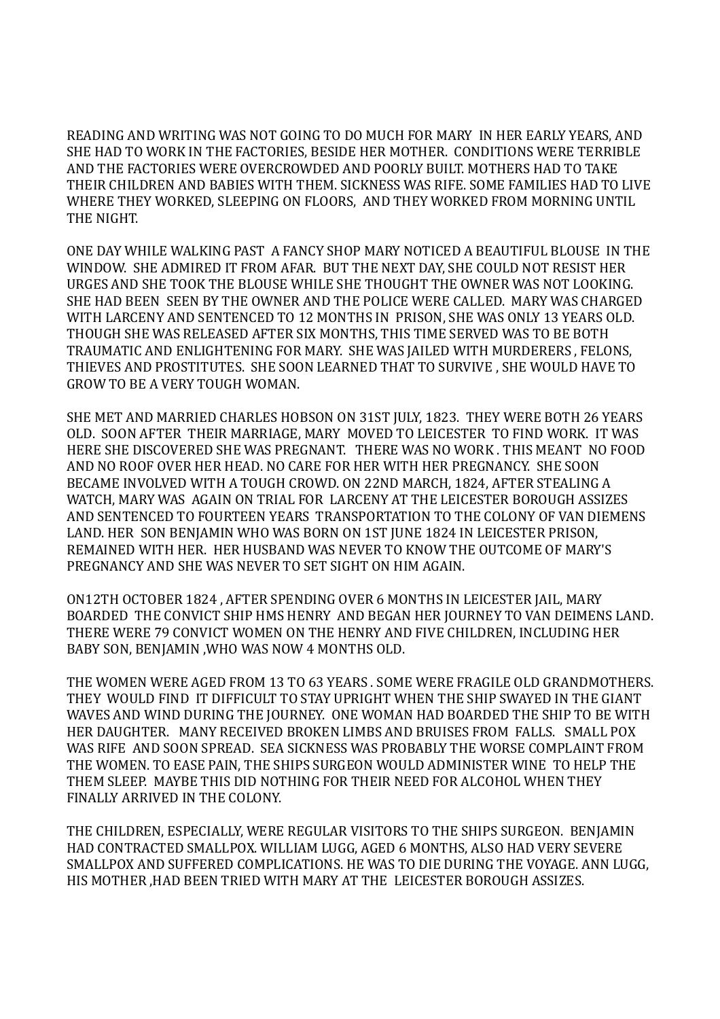READING AND WRITING WAS NOT GOING TO DO MUCH FOR MARY IN HER EARLY YEARS, AND SHE HAD TO WORK IN THE FACTORIES, BESIDE HER MOTHER. CONDITIONS WERE TERRIBLE AND THE FACTORIES WERE OVERCROWDED AND POORLY BUILT. MOTHERS HAD TO TAKE THEIR CHILDREN AND BABIES WITH THEM. SICKNESS WAS RIFE. SOME FAMILIES HAD TO LIVE WHERE THEY WORKED, SLEEPING ON FLOORS, AND THEY WORKED FROM MORNING UNTIL THE NIGHT.

ONE DAY WHILE WALKING PAST A FANCY SHOP MARY NOTICED A BEAUTIFUL BLOUSE IN THE WINDOW. SHE ADMIRED IT FROM AFAR. BUT THE NEXT DAY, SHE COULD NOT RESIST HER URGES AND SHE TOOK THE BLOUSE WHILE SHE THOUGHT THE OWNER WAS NOT LOOKING. SHE HAD BEEN SEEN BY THE OWNER AND THE POLICE WERE CALLED. MARY WAS CHARGED WITH LARCENY AND SENTENCED TO 12 MONTHS IN PRISON, SHE WAS ONLY 13 YEARS OLD. THOUGH SHE WAS RELEASED AFTER SIX MONTHS, THIS TIME SERVED WAS TO BE BOTH TRAUMATIC AND ENLIGHTENING FOR MARY. SHE WAS JAILED WITH MURDERERS , FELONS, THIEVES AND PROSTITUTES. SHE SOON LEARNED THAT TO SURVIVE , SHE WOULD HAVE TO GROW TO BE A VERY TOUGH WOMAN.

SHE MET AND MARRIED CHARLES HOBSON ON 31ST JULY, 1823. THEY WERE BOTH 26 YEARS OLD. SOON AFTER THEIR MARRIAGE, MARY MOVED TO LEICESTER TO FIND WORK. IT WAS HERE SHE DISCOVERED SHE WAS PREGNANT. THERE WAS NO WORK . THIS MEANT NO FOOD AND NO ROOF OVER HER HEAD. NO CARE FOR HER WITH HER PREGNANCY. SHE SOON BECAME INVOLVED WITH A TOUGH CROWD. ON 22ND MARCH, 1824, AFTER STEALING A WATCH, MARY WAS AGAIN ON TRIAL FOR LARCENY AT THE LEICESTER BOROUGH ASSIZES AND SENTENCED TO FOURTEEN YEARS TRANSPORTATION TO THE COLONY OF VAN DIEMENS LAND. HER SON BENJAMIN WHO WAS BORN ON 1ST JUNE 1824 IN LEICESTER PRISON, REMAINED WITH HER. HER HUSBAND WAS NEVER TO KNOW THE OUTCOME OF MARY'S PREGNANCY AND SHE WAS NEVER TO SET SIGHT ON HIM AGAIN.

ON12TH OCTOBER 1824 , AFTER SPENDING OVER 6 MONTHS IN LEICESTER JAIL, MARY BOARDED THE CONVICT SHIP HMS HENRY AND BEGAN HER JOURNEY TO VAN DEIMENS LAND. THERE WERE 79 CONVICT WOMEN ON THE HENRY AND FIVE CHILDREN, INCLUDING HER BABY SON, BENJAMIN ,WHO WAS NOW 4 MONTHS OLD.

THE WOMEN WERE AGED FROM 13 TO 63 YEARS . SOME WERE FRAGILE OLD GRANDMOTHERS. THEY WOULD FIND IT DIFFICULT TO STAY UPRIGHT WHEN THE SHIP SWAYED IN THE GIANT WAVES AND WIND DURING THE JOURNEY. ONE WOMAN HAD BOARDED THE SHIP TO BE WITH HER DAUGHTER. MANY RECEIVED BROKEN LIMBS AND BRUISES FROM FALLS. SMALL POX WAS RIFE AND SOON SPREAD. SEA SICKNESS WAS PROBABLY THE WORSE COMPLAINT FROM THE WOMEN. TO EASE PAIN, THE SHIPS SURGEON WOULD ADMINISTER WINE TO HELP THE THEM SLEEP. MAYBE THIS DID NOTHING FOR THEIR NEED FOR ALCOHOL WHEN THEY FINALLY ARRIVED IN THE COLONY.

THE CHILDREN, ESPECIALLY, WERE REGULAR VISITORS TO THE SHIPS SURGEON. BENJAMIN HAD CONTRACTED SMALLPOX. WILLIAM LUGG, AGED 6 MONTHS, ALSO HAD VERY SEVERE SMALLPOX AND SUFFERED COMPLICATIONS. HE WAS TO DIE DURING THE VOYAGE. ANN LUGG, HIS MOTHER ,HAD BEEN TRIED WITH MARY AT THE LEICESTER BOROUGH ASSIZES.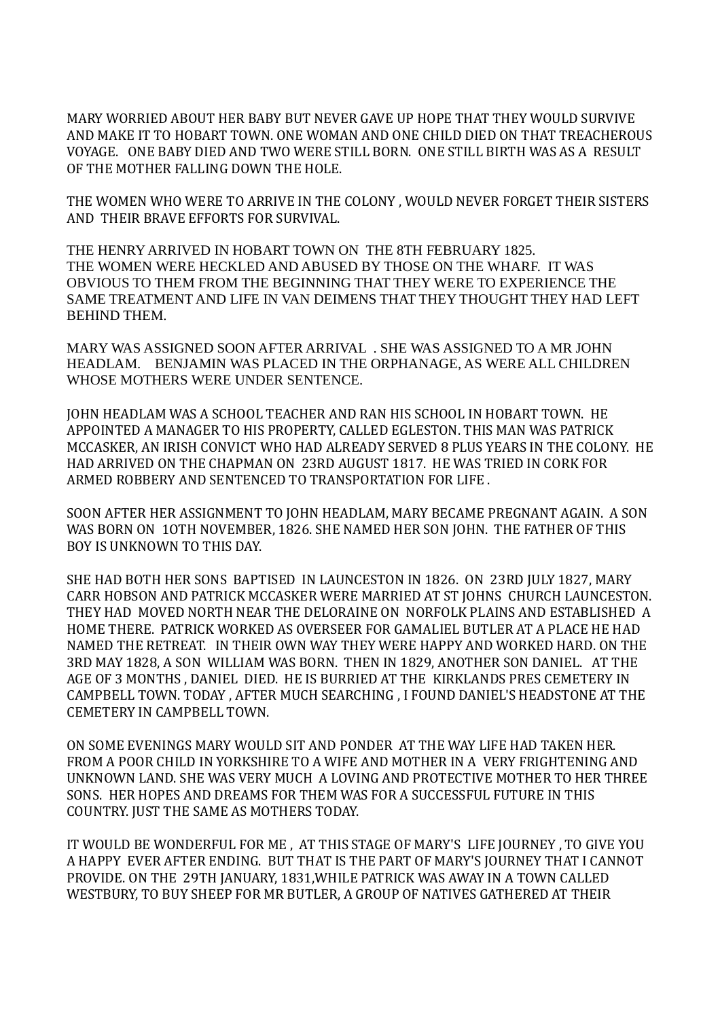MARY WORRIED ABOUT HER BABY BUT NEVER GAVE UP HOPE THAT THEY WOULD SURVIVE AND MAKE IT TO HOBART TOWN. ONE WOMAN AND ONE CHILD DIED ON THAT TREACHEROUS VOYAGE. ONE BABY DIED AND TWO WERE STILL BORN. ONE STILL BIRTH WAS AS A RESULT OF THE MOTHER FALLING DOWN THE HOLE.

THE WOMEN WHO WERE TO ARRIVE IN THE COLONY , WOULD NEVER FORGET THEIR SISTERS AND THEIR BRAVE EFFORTS FOR SURVIVAL.

THE HENRY ARRIVED IN HOBART TOWN ON THE 8TH FEBRUARY 1825. THE WOMEN WERE HECKLED AND ABUSED BY THOSE ON THE WHARF. IT WAS OBVIOUS TO THEM FROM THE BEGINNING THAT THEY WERE TO EXPERIENCE THE SAME TREATMENT AND LIFE IN VAN DEIMENS THAT THEY THOUGHT THEY HAD LEFT BEHIND THEM.

MARY WAS ASSIGNED SOON AFTER ARRIVAL . SHE WAS ASSIGNED TO A MR JOHN HEADLAM. BENJAMIN WAS PLACED IN THE ORPHANAGE, AS WERE ALL CHILDREN WHOSE MOTHERS WERE UNDER SENTENCE.

JOHN HEADLAM WAS A SCHOOL TEACHER AND RAN HIS SCHOOL IN HOBART TOWN. HE APPOINTED A MANAGER TO HIS PROPERTY, CALLED EGLESTON. THIS MAN WAS PATRICK MCCASKER, AN IRISH CONVICT WHO HAD ALREADY SERVED 8 PLUS YEARS IN THE COLONY. HE HAD ARRIVED ON THE CHAPMAN ON 23RD AUGUST 1817. HE WAS TRIED IN CORK FOR ARMED ROBBERY AND SENTENCED TO TRANSPORTATION FOR LIFE .

SOON AFTER HER ASSIGNMENT TO JOHN HEADLAM, MARY BECAME PREGNANT AGAIN. A SON WAS BORN ON 1OTH NOVEMBER, 1826. SHE NAMED HER SON JOHN. THE FATHER OF THIS BOY IS UNKNOWN TO THIS DAY.

SHE HAD BOTH HER SONS BAPTISED IN LAUNCESTON IN 1826. ON 23RD JULY 1827, MARY CARR HOBSON AND PATRICK MCCASKER WERE MARRIED AT ST JOHNS CHURCH LAUNCESTON. THEY HAD MOVED NORTH NEAR THE DELORAINE ON NORFOLK PLAINS AND ESTABLISHED A HOME THERE. PATRICK WORKED AS OVERSEER FOR GAMALIEL BUTLER AT A PLACE HE HAD NAMED THE RETREAT. IN THEIR OWN WAY THEY WERE HAPPY AND WORKED HARD. ON THE 3RD MAY 1828, A SON WILLIAM WAS BORN. THEN IN 1829, ANOTHER SON DANIEL. AT THE AGE OF 3 MONTHS , DANIEL DIED. HE IS BURRIED AT THE KIRKLANDS PRES CEMETERY IN CAMPBELL TOWN. TODAY , AFTER MUCH SEARCHING , I FOUND DANIEL'S HEADSTONE AT THE CEMETERY IN CAMPBELL TOWN.

ON SOME EVENINGS MARY WOULD SIT AND PONDER AT THE WAY LIFE HAD TAKEN HER. FROM A POOR CHILD IN YORKSHIRE TO A WIFE AND MOTHER IN A VERY FRIGHTENING AND UNKNOWN LAND. SHE WAS VERY MUCH A LOVING AND PROTECTIVE MOTHER TO HER THREE SONS. HER HOPES AND DREAMS FOR THEM WAS FOR A SUCCESSFUL FUTURE IN THIS COUNTRY. JUST THE SAME AS MOTHERS TODAY.

IT WOULD BE WONDERFUL FOR ME , AT THIS STAGE OF MARY'S LIFE JOURNEY , TO GIVE YOU A HAPPY EVER AFTER ENDING. BUT THAT IS THE PART OF MARY'S JOURNEY THAT I CANNOT PROVIDE. ON THE 29TH JANUARY, 1831,WHILE PATRICK WAS AWAY IN A TOWN CALLED WESTBURY, TO BUY SHEEP FOR MR BUTLER, A GROUP OF NATIVES GATHERED AT THEIR